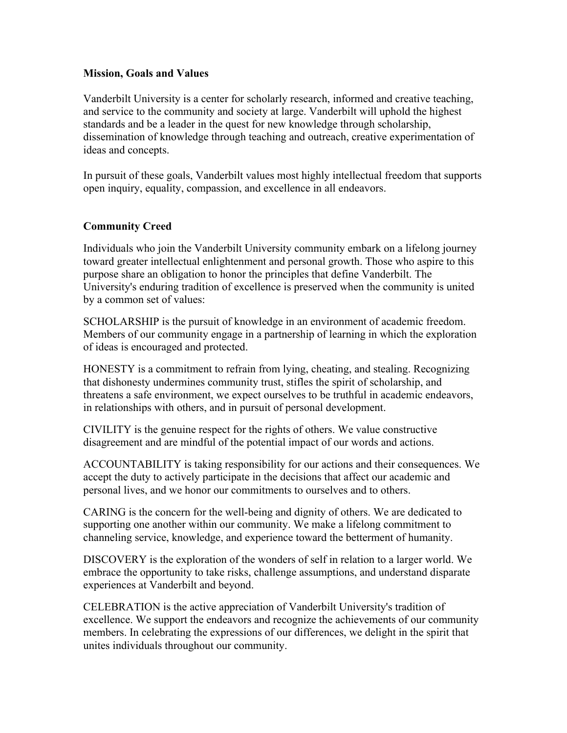## **Mission, Goals and Values**

Vanderbilt University is a center for scholarly research, informed and creative teaching, and service to the community and society at large. Vanderbilt will uphold the highest standards and be a leader in the quest for new knowledge through scholarship, dissemination of knowledge through teaching and outreach, creative experimentation of ideas and concepts.

In pursuit of these goals, Vanderbilt values most highly intellectual freedom that supports open inquiry, equality, compassion, and excellence in all endeavors.

## **Community Creed**

Individuals who join the Vanderbilt University community embark on a lifelong journey toward greater intellectual enlightenment and personal growth. Those who aspire to this purpose share an obligation to honor the principles that define Vanderbilt. The University's enduring tradition of excellence is preserved when the community is united by a common set of values:

SCHOLARSHIP is the pursuit of knowledge in an environment of academic freedom. Members of our community engage in a partnership of learning in which the exploration of ideas is encouraged and protected.

HONESTY is a commitment to refrain from lying, cheating, and stealing. Recognizing that dishonesty undermines community trust, stifles the spirit of scholarship, and threatens a safe environment, we expect ourselves to be truthful in academic endeavors, in relationships with others, and in pursuit of personal development.

CIVILITY is the genuine respect for the rights of others. We value constructive disagreement and are mindful of the potential impact of our words and actions.

ACCOUNTABILITY is taking responsibility for our actions and their consequences. We accept the duty to actively participate in the decisions that affect our academic and personal lives, and we honor our commitments to ourselves and to others.

CARING is the concern for the well-being and dignity of others. We are dedicated to supporting one another within our community. We make a lifelong commitment to channeling service, knowledge, and experience toward the betterment of humanity.

DISCOVERY is the exploration of the wonders of self in relation to a larger world. We embrace the opportunity to take risks, challenge assumptions, and understand disparate experiences at Vanderbilt and beyond.

CELEBRATION is the active appreciation of Vanderbilt University's tradition of excellence. We support the endeavors and recognize the achievements of our community members. In celebrating the expressions of our differences, we delight in the spirit that unites individuals throughout our community.